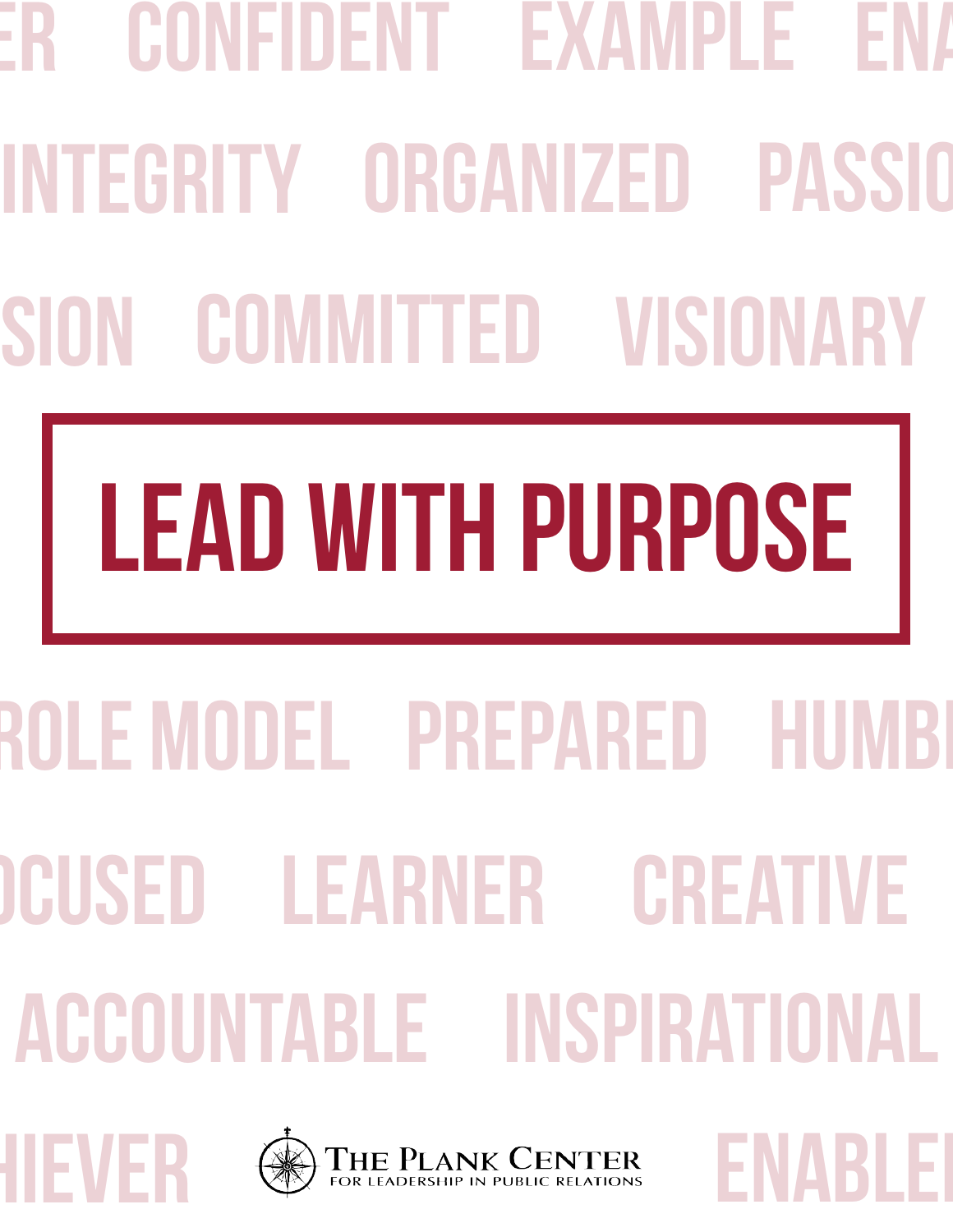# INTEGRITY ORGANIZED PASSIO SION COMMITTED VISIONARY ER CONFIDENT EXAMPLE EN/

# LEAD WITH PURPOSE

## accountable inspirational OCUSED LEARNER CREATIVE ROLE MODEL PREPARED HUMBI





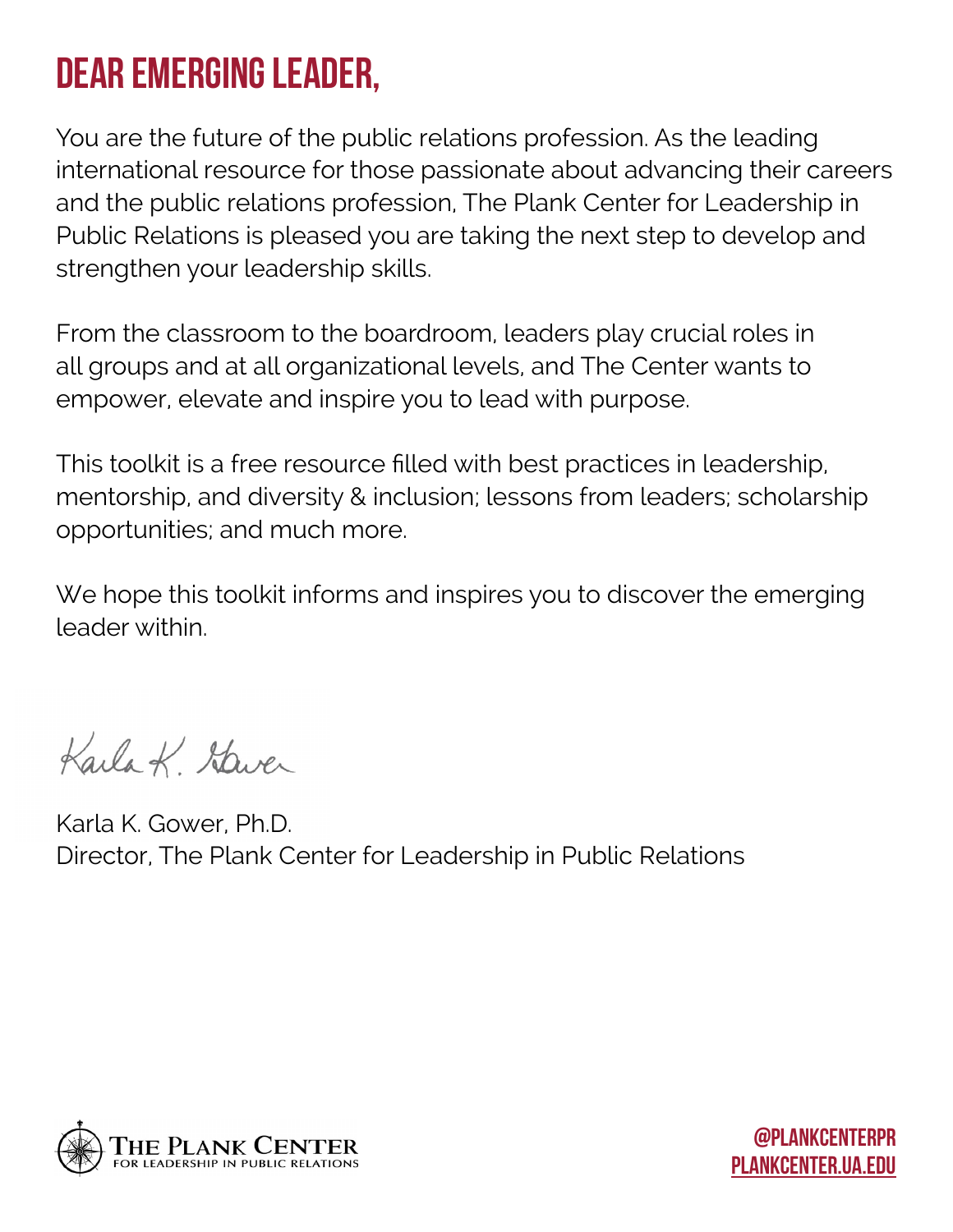### Dear Emerging Leader,

You are the future of the public relations profession. As the leading international resource for those passionate about advancing their careers and the public relations profession, The Plank Center for Leadership in Public Relations is pleased you are taking the next step to develop and strengthen your leadership skills.

From the classroom to the boardroom, leaders play crucial roles in all groups and at all organizational levels, and The Center wants to empower, elevate and inspire you to lead with purpose.

This toolkit is a free resource filled with best practices in leadership, mentorship, and diversity & inclusion; lessons from leaders; scholarship opportunities; and much more.

We hope this toolkit informs and inspires you to discover the emerging leader within.

Karla K Staver

Karla K. Gower, Ph.D. Director, The Plank Center for Leadership in Public Relations

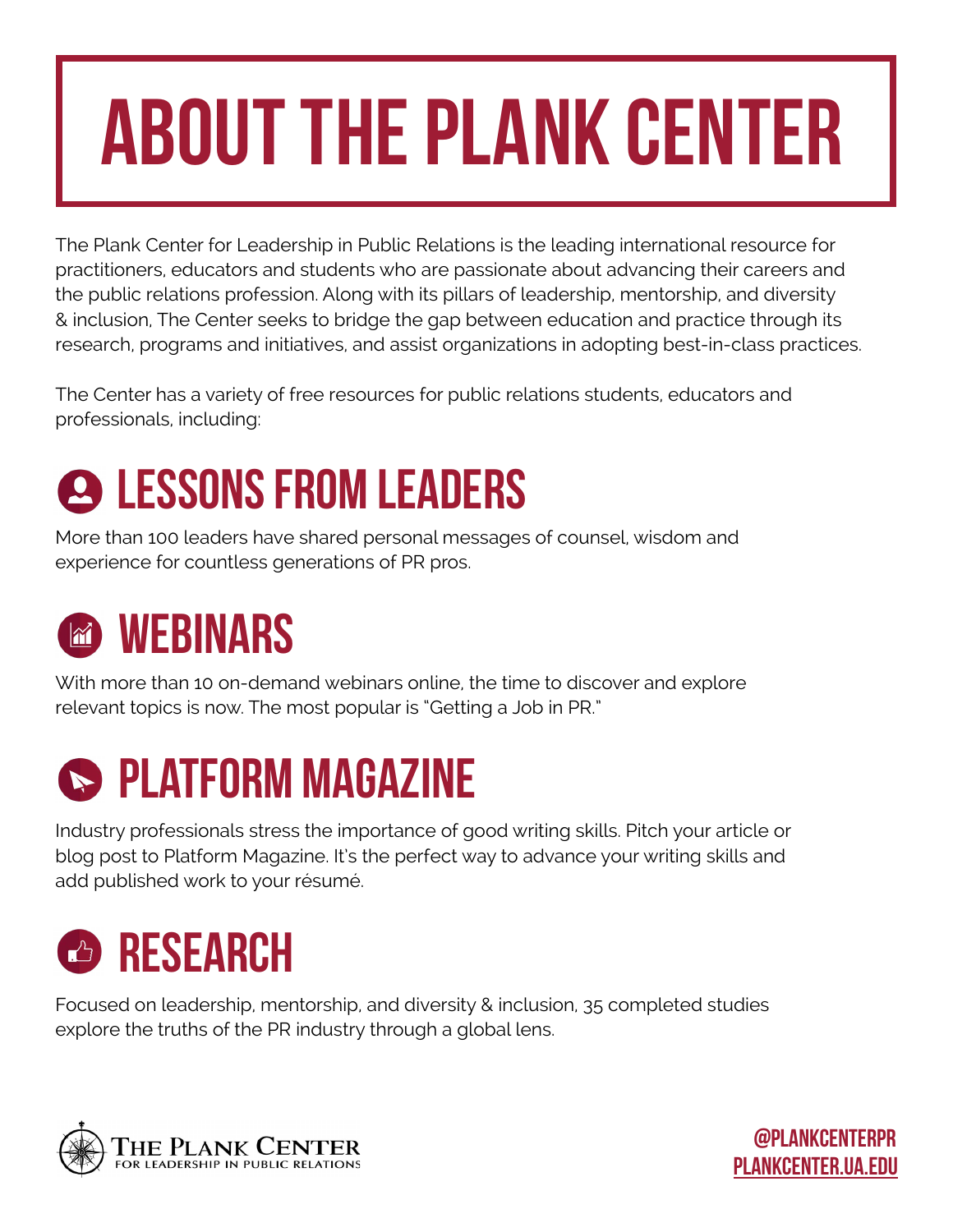### about the plank center

The Plank Center for Leadership in Public Relations is the leading international resource for practitioners, educators and students who are passionate about advancing their careers and the public relations profession. Along with its pillars of leadership, mentorship, and diversity & inclusion, The Center seeks to bridge the gap between education and practice through its research, programs and initiatives, and assist organizations in adopting best-in-class practices.

The Center has a variety of free resources for public relations students, educators and professionals, including:

### **2 LESSONS FROM LEADERS**

More than 100 leaders have shared personal messages of counsel, wisdom and experience for countless generations of PR pros.

### **MEBINARS**

With more than 10 on-demand webinars online, the time to discover and explore relevant topics is now. The most popular is "Getting a Job in PR."

### **S** PLATFORM MAGAZINE

Industry professionals stress the importance of good writing skills. Pitch your article or blog post to Platform Magazine. It's the perfect way to advance your writing skills and add published work to your résumé.

### *C* RESEARCH

Focused on leadership, mentorship, and diversity & inclusion, 35 completed studies explore the truths of the PR industry through a global lens.

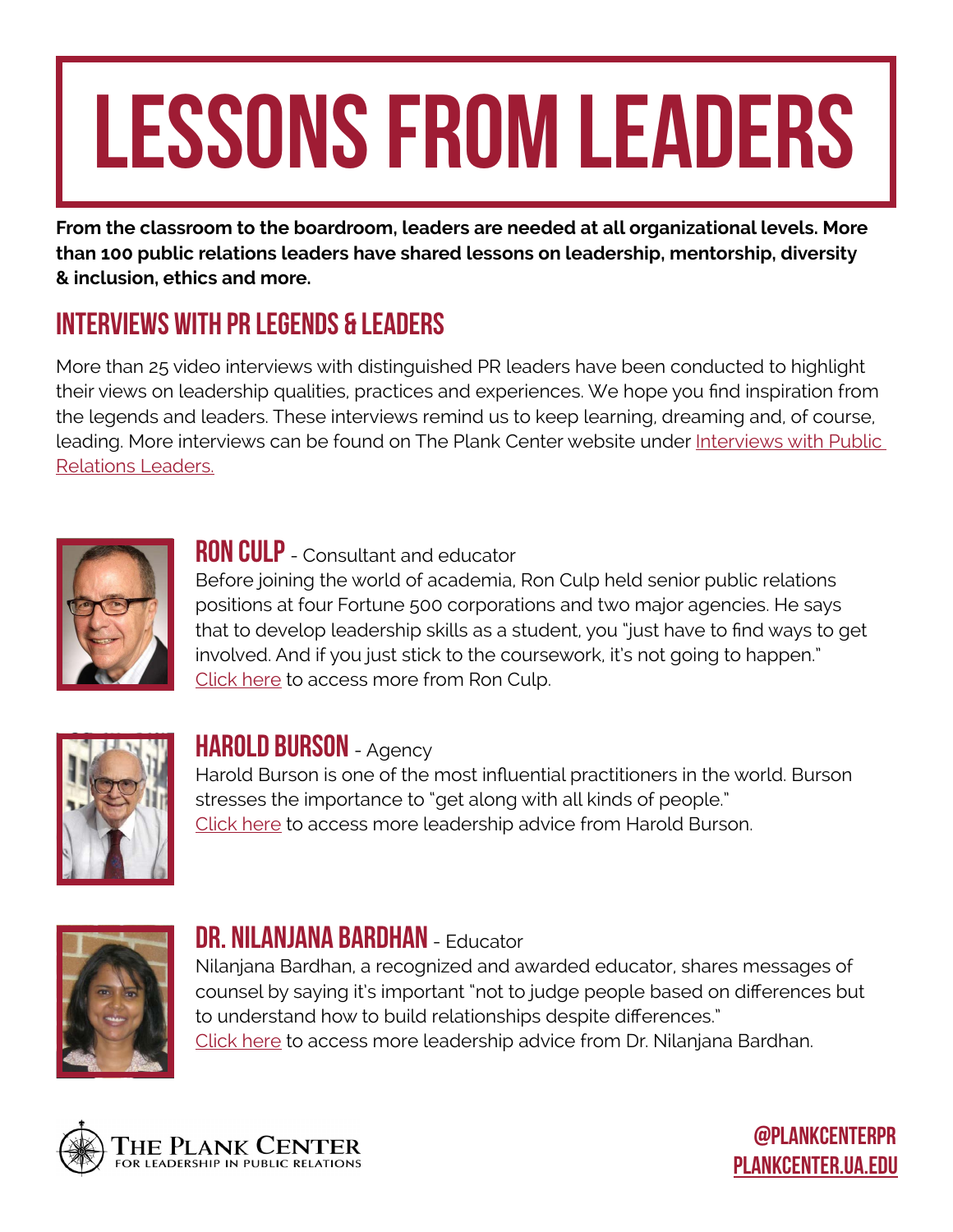## LESSONS FROM LEADERS

**From the classroom to the boardroom, leaders are needed at all organizational levels. More than 100 public relations leaders have shared lessons on leadership, mentorship, diversity & inclusion, ethics and more.**

#### [Interviews with pr legends & leaders](http://plankcenter.ua.edu/resources/leaders/videos/)

More than 25 video interviews with distinguished PR leaders have been conducted to highlight their views on leadership qualities, practices and experiences. We hope you find inspiration from the legends and leaders. These interviews remind us to keep learning, dreaming and, of course, leading. More interviews can be found on The Plank Center website under [Interviews with Public](http://plankcenter.ua.edu/resources/leaders/videos/)  [Relations Leaders.](http://plankcenter.ua.edu/resources/leaders/videos/)



#### **RON CULP** - Consultant and educator

Before joining the world of academia, Ron Culp held senior public relations positions at four Fortune 500 corporations and two major agencies. He says that to develop leadership skills as a student, you "just have to find ways to get involved. And if you just stick to the coursework, it's not going to happen." [Click here](http://plankcenter.ua.edu/plank-legends-leaders-ron-culp/) to access more from Ron Culp.



#### HAROLD BURSON - Agency

Harold Burson is one of the most influential practitioners in the world. Burson stresses the importance to "get along with all kinds of people." [Click here](http://plankcenter.ua.edu/plank-legends-leaders-harold-burson/) to access more leadership advice from Harold Burson.



#### DR. NILANJANA BARDHAN - Educator

Nilanjana Bardhan, a recognized and awarded educator, shares messages of counsel by saying it's important "not to judge people based on differences but to understand how to build relationships despite differences." [Click here](http://plankcenter.ua.edu/resources/leaders/videos/plank-legends-leaders-dr-nilanjana-bardhan/) to access more leadership advice from Dr. Nilanjana Bardhan.

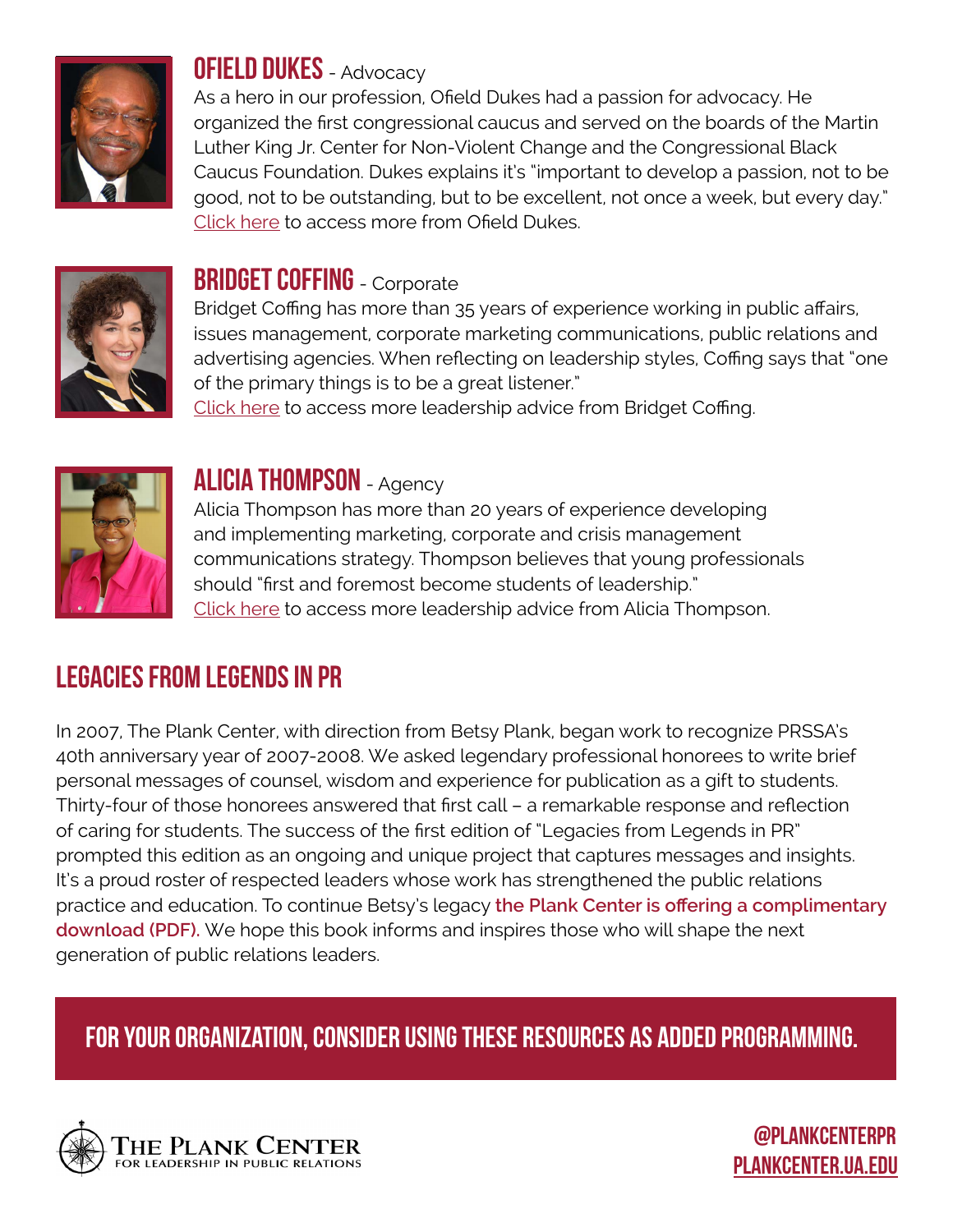

#### **OFIELD DUKES** - Advocacy

As a hero in our profession, Ofield Dukes had a passion for advocacy. He organized the first congressional caucus and served on the boards of the Martin Luther King Jr. Center for Non-Violent Change and the Congressional Black Caucus Foundation. Dukes explains it's "important to develop a passion, not to be good, not to be outstanding, but to be excellent, not once a week, but every day." [Click here](http://plankcenter.ua.edu/plank-legends-leaders-ofield-dukes/) to access more from Ofield Dukes.



#### **BRIDGET COFFING** - Corporate

Bridget Coffing has more than 35 years of experience working in public affairs, issues management, corporate marketing communications, public relations and advertising agencies. When reflecting on leadership styles, Coffing says that "one of the primary things is to be a great listener."

[Click here](http://plankcenter.ua.edu/plank-legends-leaders-bridget-coffing/) to access more leadership advice from Bridget Coffing.



#### **ALICIA THOMPSON** - Agency

Alicia Thompson has more than 20 years of experience developing and implementing marketing, corporate and crisis management communications strategy. Thompson believes that young professionals should "first and foremost become students of leadership." [Click here](http://plankcenter.ua.edu/resources/leaders/videos/alicia-thompson/) to access more leadership advice from Alicia Thompson.

#### [Legacies from legends in pr](http://plankcenter.ua.edu/?s=legacies+from+legends)

In 2007, The Plank Center, with direction from Betsy Plank, began work to recognize PRSSA's 40th anniversary year of 2007-2008. We asked legendary professional honorees to write brief personal messages of counsel, wisdom and experience for publication as a gift to students. Thirty-four of those honorees answered that first call – a remarkable response and reflection of caring for students. The success of the first edition of "Legacies from Legends in PR" prompted this edition as an ongoing and unique project that captures messages and insights. It's a proud roster of respected leaders whose work has strengthened the public relations practice and education. To continue Betsy's legacy **[the Plank Center is offering a complimentary](http://bit.ly/PlankLegends)  [download \(PDF\).](http://bit.ly/PlankLegends)** We hope this book informs and inspires those who will shape the next generation of public relations leaders.

#### For your organization, consider using these resources as added programming.

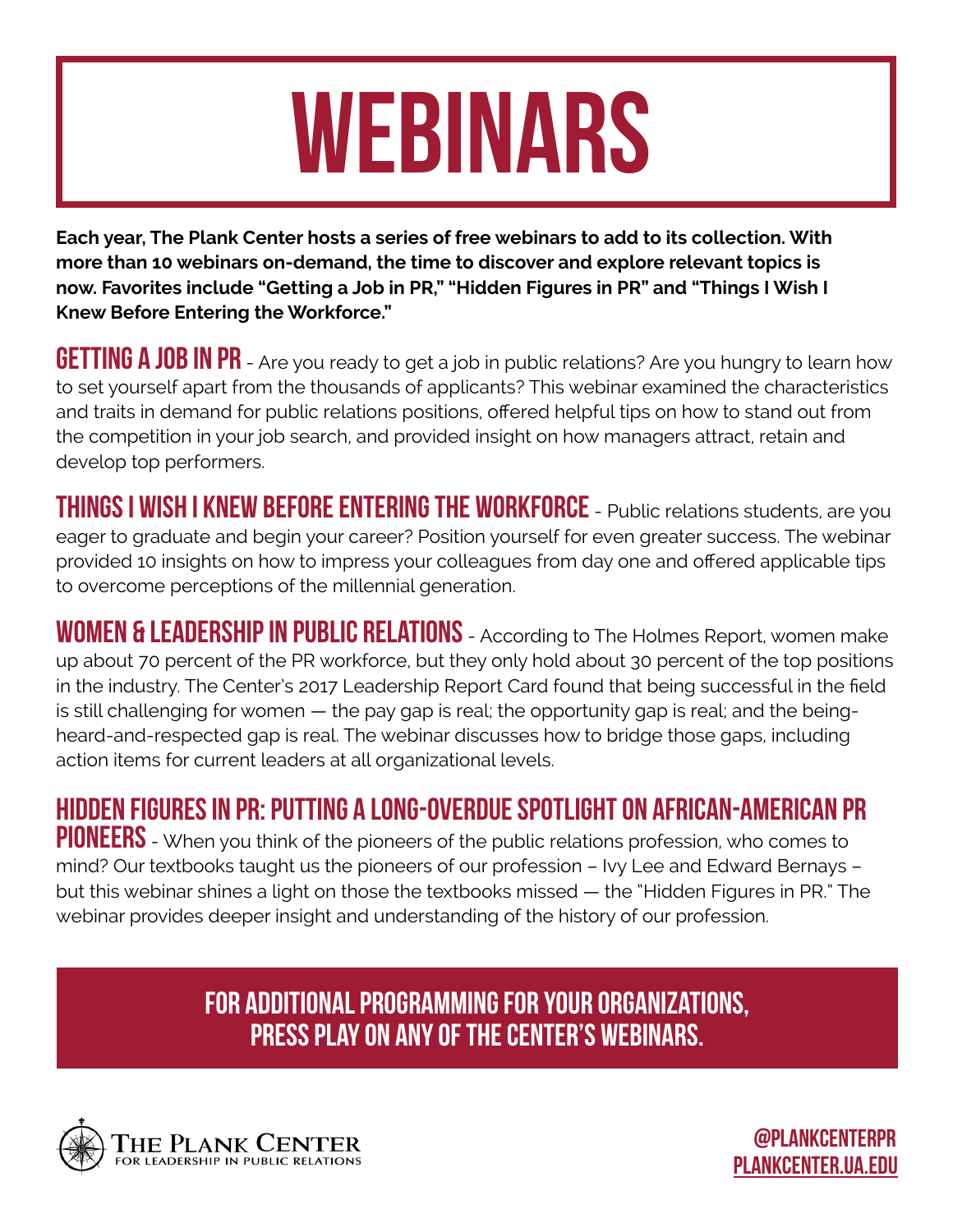### Webinars

**Each year, The Plank Center hosts a series of free webinars to add to its collection. With more than 10 webinars on-demand, the time to discover and explore relevant topics is now. Favorites include "Getting a Job in PR," "Hidden Figures in PR" and "Things I Wish I Knew Before Entering the Workforce."**

**GETTING A JOB IN PR** - Are you ready to get a job in public relations? Are you hungry to learn how to set yourself apart from the thousands of applicants? This webinar examined the characteristics and traits in demand for public relations positions, offered helpful tips on how to stand out from the competition in your job search, and provided insight on how managers attract, retain and develop top performers.

THINGS I WISH I KNEW BEFORE ENTERING THE WORKFORCE - Public relations students, are you eager to graduate and begin your career? Position yourself for even greater success. The webinar provided 10 insights on how to impress your colleagues from day one and offered applicable tips to overcome perceptions of the millennial generation.

WOMEN & LEADERSHIP IN PUBLIC RELATIONS - According to The Holmes Report, women make up about 70 percent of the PR workforce, but they only hold about 30 percent of the top positions in the industry. The Center's 2017 Leadership Report Card found that being successful in the field is still challenging for women — the pay gap is real; the opportunity gap is real; and the beingheard-and-respected gap is real. The webinar discusses how to bridge those gaps, including action items for current leaders at all organizational levels.

[Hidden figures in PR: Putting a long-overdue spotlight on african-american pr](http://plankcenter.ua.edu/resources/webinars/)  PIONEERS - When you think of the [pioneers](http://plankcenter.ua.edu/resources/webinars/) of the public relations profession, who comes to mind? Our textbooks taught us the pioneers of our profession – Ivy Lee and Edward Bernays – but this webinar shines a light on those the textbooks missed — the "Hidden Figures in PR." The webinar provides deeper insight and understanding of the history of our profession.

> For additional programming for your organizations, press play on any of the Center's webinars.

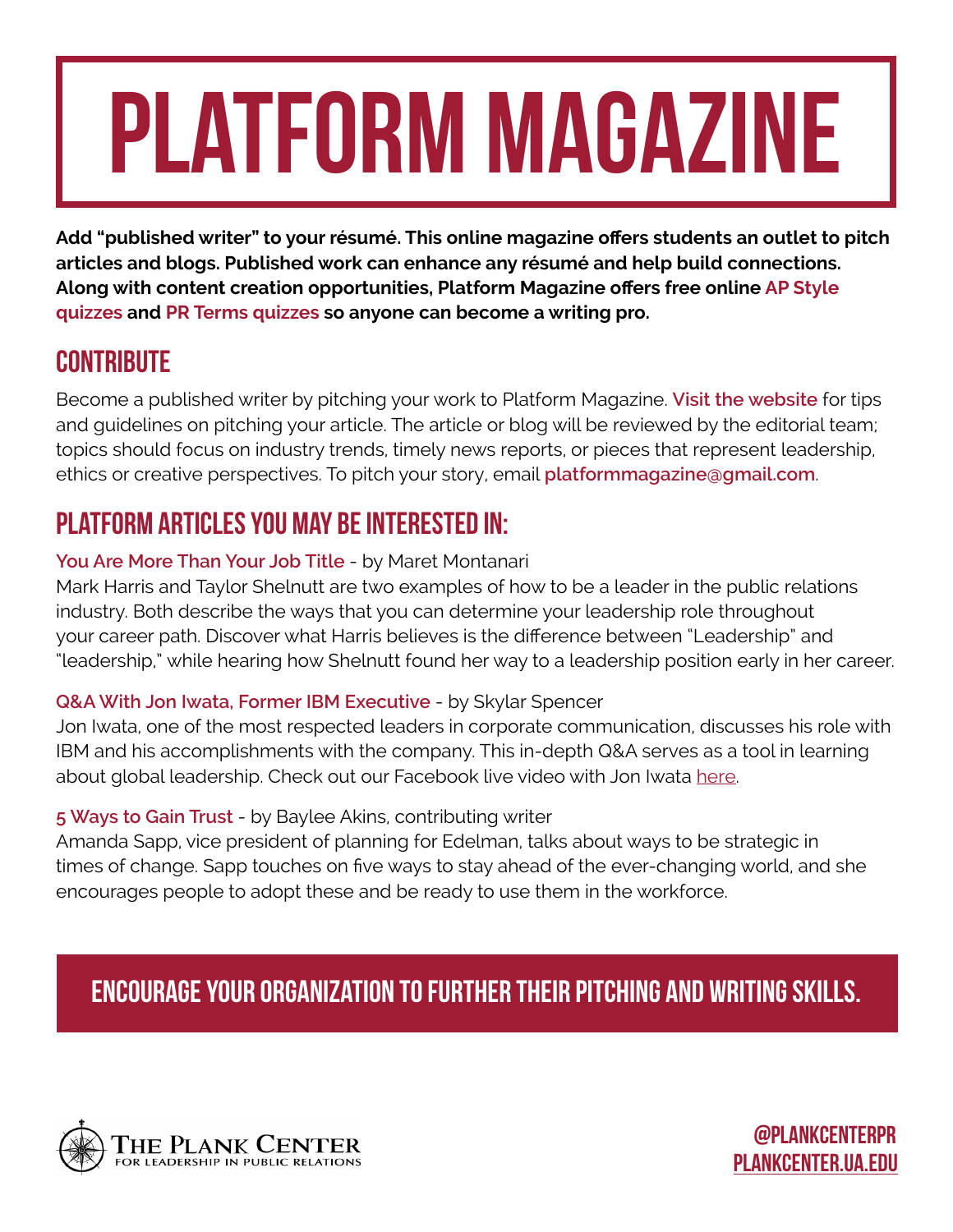## Platform Magazine

**Add "published writer" to your résumé. This online magazine offers students an outlet to pitch articles and blogs. Published work can enhance any résumé and help build connections. Along with content creation opportunities, Platform Magazine offers free online [AP Style](http://platformmagazine.org/2015/01/05/ap-style-quiz/)  [quizzes](http://platformmagazine.org/2015/01/05/ap-style-quiz/) and [PR Terms quizzes](http://platformmagazine.org/2015/01/05/pr-terms-quiz/) so anyone can become a writing pro.** 

#### **CONTRIBUTE**

Become a published writer by pitching your work to Platform Magazine. **[Visit the website](http://platformmagazine.org/contribute-to-platform/)** for tips and guidelines on pitching your article. The article or blog will be reviewed by the editorial team; topics should focus on industry trends, timely news reports, or pieces that represent leadership, ethics or creative perspectives. To pitch your story, email **[platformmagazine@gmail.com](mailto:platformmagazine%40gmail.com?subject=)**.

#### Platform articles you may be interested in:

#### **[You Are More Than Your Job Title](http://platformmagazine.org/2018/02/19/you-are-more-than-your-job-title/)** - by Maret Montanari

Mark Harris and Taylor Shelnutt are two examples of how to be a leader in the public relations industry. Both describe the ways that you can determine your leadership role throughout your career path. Discover what Harris believes is the difference between "Leadership" and "leadership," while hearing how Shelnutt found her way to a leadership position early in her career.

#### **Q&A With Jon Iwata, Former IBM Executive** - by Skylar Spencer

Jon Iwata, one of the most respected leaders in corporate communication, discusses his role with IBM and his accomplishments with the company. This in-depth Q&A serves as a tool in learning about global leadership. Check out our Facebook live video with Jon Iwata [here.](http://plankcenter.ua.edu/ibms-former-brand-marketing-and-communication-leader-to-addresses-the-future-of-public-relations/
)

#### **[5 Ways to Gain Trust](http://platformmagazine.org/2017/05/16/5-ways-gain-trust/)** - by Baylee Akins, contributing writer

Amanda Sapp, vice president of planning for Edelman, talks about ways to be strategic in times of change. Sapp touches on five ways to stay ahead of the ever-changing world, and she encourages people to adopt these and be ready to use them in the workforce.

#### Encourage your organization to further their pitching and writing skills.

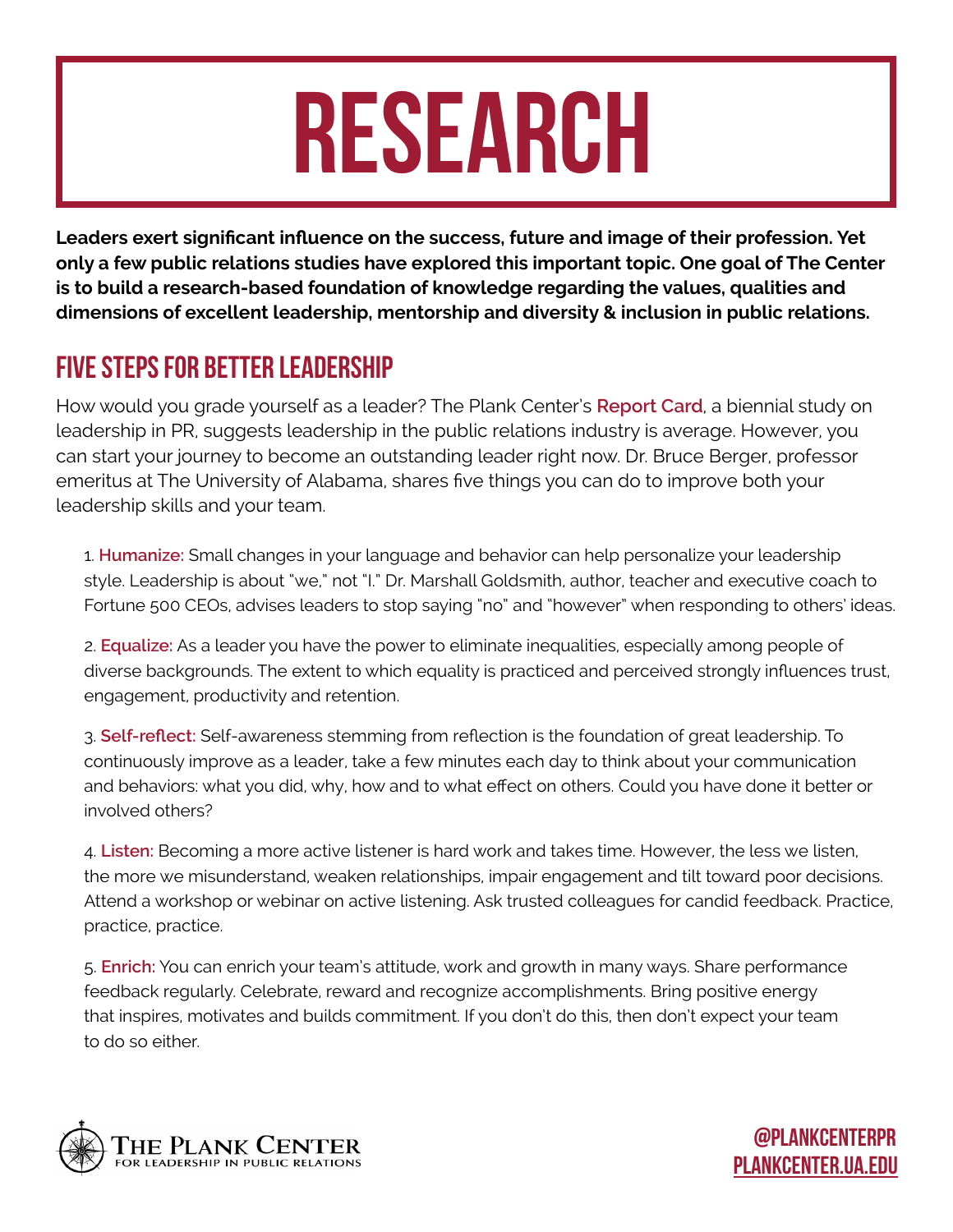### **RESEARCH**

**Leaders exert significant influence on the success, future and image of their profession. Yet only a few public relations studies have explored this important topic. One goal of The Center is to build a research-based foundation of knowledge regarding the values, qualities and dimensions of excellent leadership, mentorship and diversity & inclusion in public relations.** 

#### [Five steps for better leadership](http://plankcenter.ua.edu/5-steps-to-better-leadership/)

How would you grade yourself as a leader? The Plank Center's **[Report Card](http://plankcenter.ua.edu/gender-differences-deepen-leader-employee-gap-remains-and-grades-slide-in-plank-center-report-card-2017-on-pr-leaders/)**, a biennial study on leadership in PR, suggests leadership in the public relations industry is average. However, you can start your journey to become an outstanding leader right now. Dr. Bruce Berger, professor emeritus at The University of Alabama, shares five things you can do to improve both your leadership skills and your team.

1. **Humanize:** Small changes in your language and behavior can help personalize your leadership style. Leadership is about "we," not "I." Dr. Marshall Goldsmith, author, teacher and executive coach to Fortune 500 CEOs, advises leaders to stop saying "no" and "however" when responding to others' ideas.

2. **Equalize:** As a leader you have the power to eliminate inequalities, especially among people of diverse backgrounds. The extent to which equality is practiced and perceived strongly influences trust, engagement, productivity and retention.

3. **Self-reflect:** Self-awareness stemming from reflection is the foundation of great leadership. To continuously improve as a leader, take a few minutes each day to think about your communication and behaviors: what you did, why, how and to what effect on others. Could you have done it better or involved others?

4. **Listen:** Becoming a more active listener is hard work and takes time. However, the less we listen, the more we misunderstand, weaken relationships, impair engagement and tilt toward poor decisions. Attend a workshop or webinar on active listening. Ask trusted colleagues for candid feedback. Practice, practice, practice.

5. **Enrich:** You can enrich your team's attitude, work and growth in many ways. Share performance feedback regularly. Celebrate, reward and recognize accomplishments. Bring positive energy that inspires, motivates and builds commitment. If you don't do this, then don't expect your team to do so either.

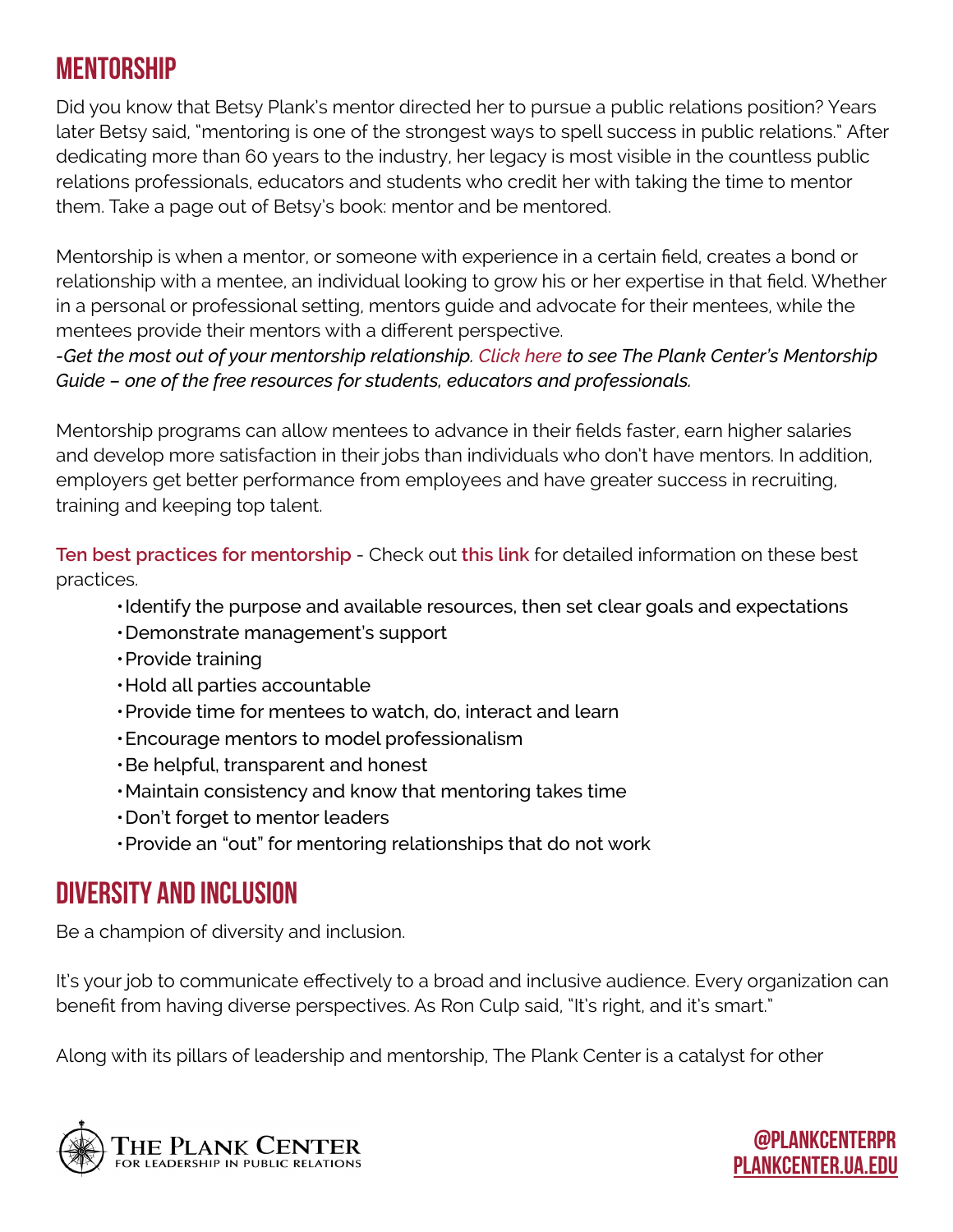#### **MENTORSHIP**

Did you know that Betsy Plank's mentor directed her to pursue a public relations position? Years later Betsy said, "mentoring is one of the strongest ways to spell success in public relations." After dedicating more than 60 years to the industry, her legacy is most visible in the countless public relations professionals, educators and students who credit her with taking the time to mentor them. Take a page out of Betsy's book: mentor and be mentored.

Mentorship is when a mentor, or someone with experience in a certain field, creates a bond or relationship with a mentee, an individual looking to grow his or her expertise in that field. Whether in a personal or professional setting, mentors guide and advocate for their mentees, while the mentees provide their mentors with a different perspective.

*-Get the most out of your mentorship relationship. [Click here](http://plankcenter.ua.edu/wp-content/uploads/2017/08/The-Plank-Center-Mentorship-Guide.pdf) to see The Plank Center's Mentorship Guide – one of the free resources for students, educators and professionals.*

Mentorship programs can allow mentees to advance in their fields faster, earn higher salaries and develop more satisfaction in their jobs than individuals who don't have mentors. In addition, employers get better performance from employees and have greater success in recruiting, training and keeping top talent.

**[Ten best practices for mentorship](http://plankcenter.ua.edu/wp-content/uploads/2017/07/Mentoring.final_.10.19.16.pdf)** - Check out **[this link](http://plankcenter.ua.edu/wp-content/uploads/2017/07/Mentoring.final_.10.19.16.pdf)** for detailed information on these best practices.

- •Identify the purpose and available resources, then set clear goals and expectations
- •Demonstrate management's support
- •Provide training
- •Hold all parties accountable
- •Provide time for mentees to watch, do, interact and learn
- •Encourage mentors to model professionalism
- •Be helpful, transparent and honest
- •Maintain consistency and know that mentoring takes time
- •Don't forget to mentor leaders
- •Provide an "out" for mentoring relationships that do not work

#### Diversity and Inclusion

Be a champion of diversity and inclusion.

It's your job to communicate effectively to a broad and inclusive audience. Every organization can benefit from having diverse perspectives. As Ron Culp said, "It's right, and it's smart."

[PLANKCENTER.UA.EDU](http://plankcenter.ua.edu/)

@Plankcenterpr

Along with its pillars of leadership and mentorship, The Plank Center is a catalyst for other

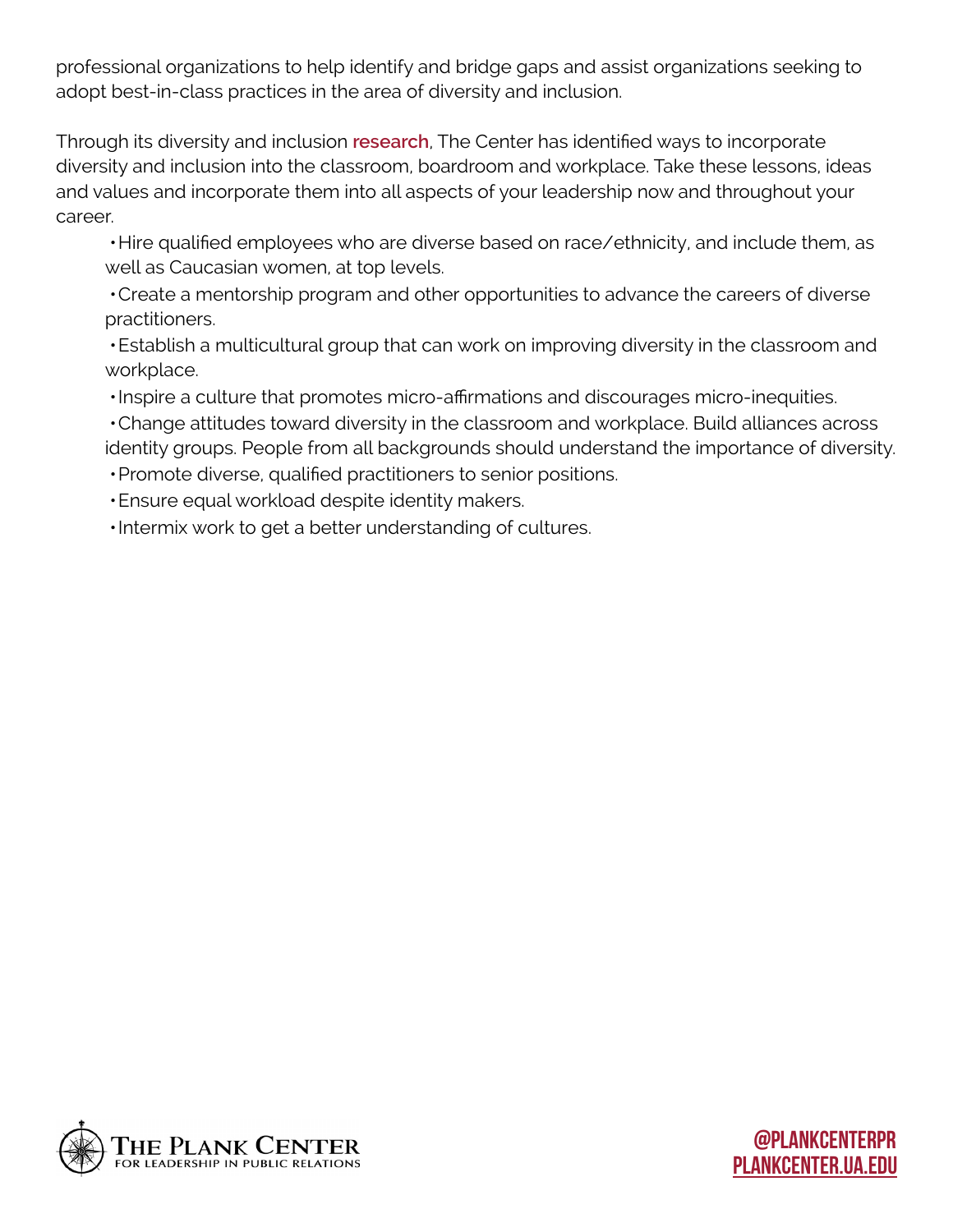professional organizations to help identify and bridge gaps and assist organizations seeking to adopt best-in-class practices in the area of diversity and inclusion.

Through its diversity and inclusion **[research](http://plankcenter.ua.edu/wp-content/uploads/2016/07/PR-industry-DI-trends-and-research-highlights.pdf)**, The Center has identified ways to incorporate diversity and inclusion into the classroom, boardroom and workplace. Take these lessons, ideas and values and incorporate them into all aspects of your leadership now and throughout your career.

•Hire qualified employees who are diverse based on race/ethnicity, and include them, as well as Caucasian women, at top levels.

•Create a mentorship program and other opportunities to advance the careers of diverse practitioners.

•Establish a multicultural group that can work on improving diversity in the classroom and workplace.

•Inspire a culture that promotes micro-affirmations and discourages micro-inequities.

•Change attitudes toward diversity in the classroom and workplace. Build alliances across identity groups. People from all backgrounds should understand the importance of diversity.

•Promote diverse, qualified practitioners to senior positions.

•Ensure equal workload despite identity makers.

•Intermix work to get a better understanding of cultures.

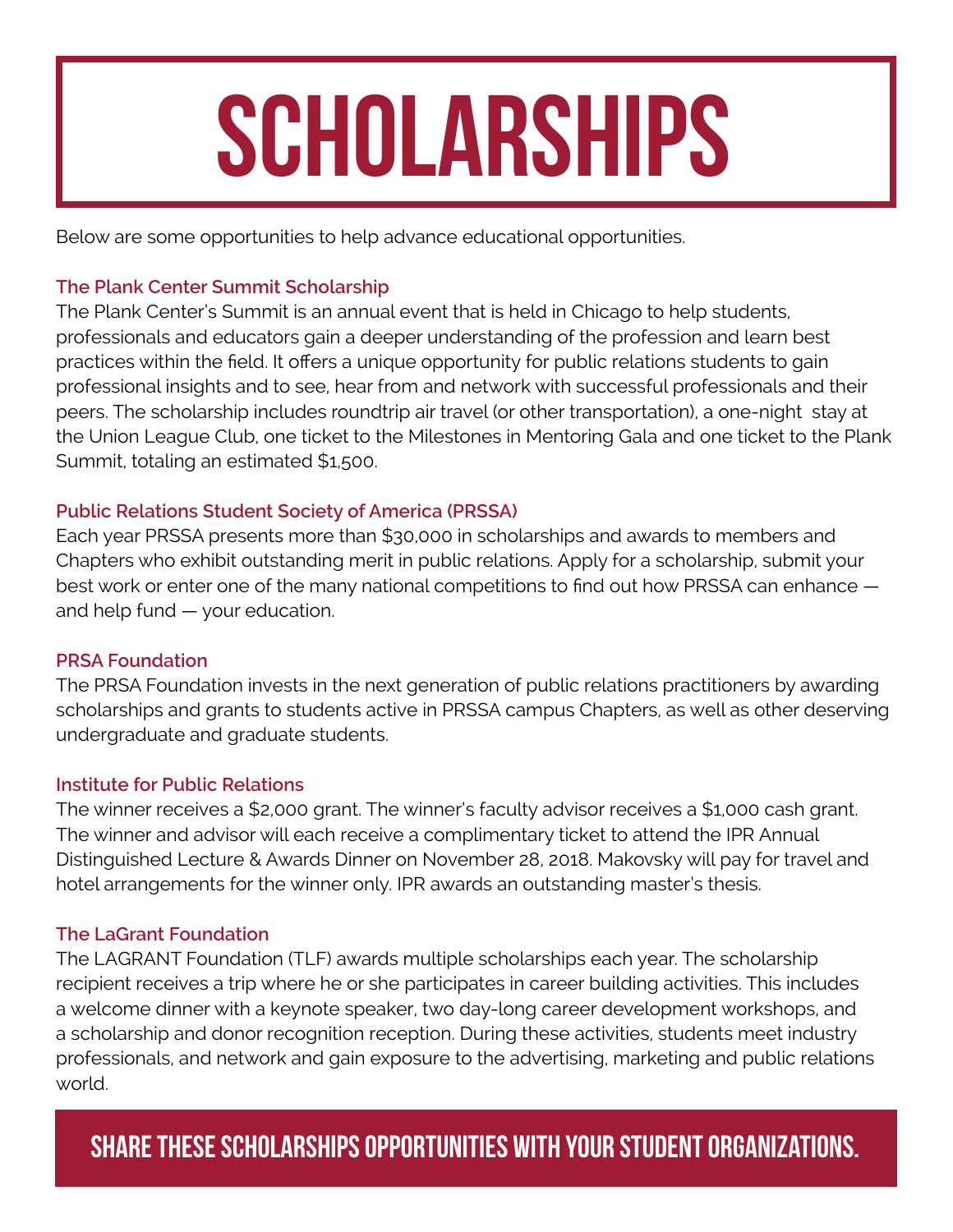### **SCHOLARSHIPS**

Below are some opportunities to help advance educational opportunities.

#### **[The Plank Center Summit Scholarship](http://plankcenter.ua.edu/the-plank-summit/summit-scholarship/)**

The Plank Center's Summit is an annual event that is held in Chicago to help students, professionals and educators gain a deeper understanding of the profession and learn best practices within the field. It offers a unique opportunity for public relations students to gain professional insights and to see, hear from and network with successful professionals and their peers. The scholarship includes roundtrip air travel (or other transportation), a one-night stay at the Union League Club, one ticket to the Milestones in Mentoring Gala and one ticket to the Plank Summit, totaling an estimated \$1,500.

#### **[Public Relations Student Society of America \(PRSSA\)](http://prssa.prsa.org/scholarships-and-awards/)**

Each year PRSSA presents more than \$30,000 in scholarships and awards to members and Chapters who exhibit outstanding merit in public relations. Apply for a scholarship, submit your best work or enter one of the many national competitions to find out how PRSSA can enhance and help fund — your education.

#### **[PRSA Foundation](http://www.prsafoundation.org/scholarships-awards/)**

The PRSA Foundation invests in the next generation of public relations practitioners by awarding scholarships and grants to students active in PRSSA campus Chapters, as well as other deserving undergraduate and graduate students.

#### **[Institute for Public Relations](https://instituteforpr.org/event/deadline-makovsky-best-masters-thesis-application/)**

The winner receives a \$2,000 grant. The winner's faculty advisor receives a \$1,000 cash grant. The winner and advisor will each receive a complimentary ticket to attend the IPR Annual Distinguished Lecture & Awards Dinner on November 28, 2018. Makovsky will pay for travel and hotel arrangements for the winner only. IPR awards an outstanding master's thesis.

#### **[The LaGrant Foundation](https://www.lagrantfoundation.org/Scholarship%20Program)**

The LAGRANT Foundation (TLF) awards multiple scholarships each year. The scholarship recipient receives a trip where he or she participates in career building activities. This includes a welcome dinner with a keynote speaker, two day-long career development workshops, and a scholarship and donor recognition reception. During these activities, students meet industry professionals, and network and gain exposure to the advertising, marketing and public relations world.

#### PANIEATIVIV. SHARE THESE SCHOLARSHIPS OPPORTUNITIES WITH YOUR STUDENT ORGANIZATIONS.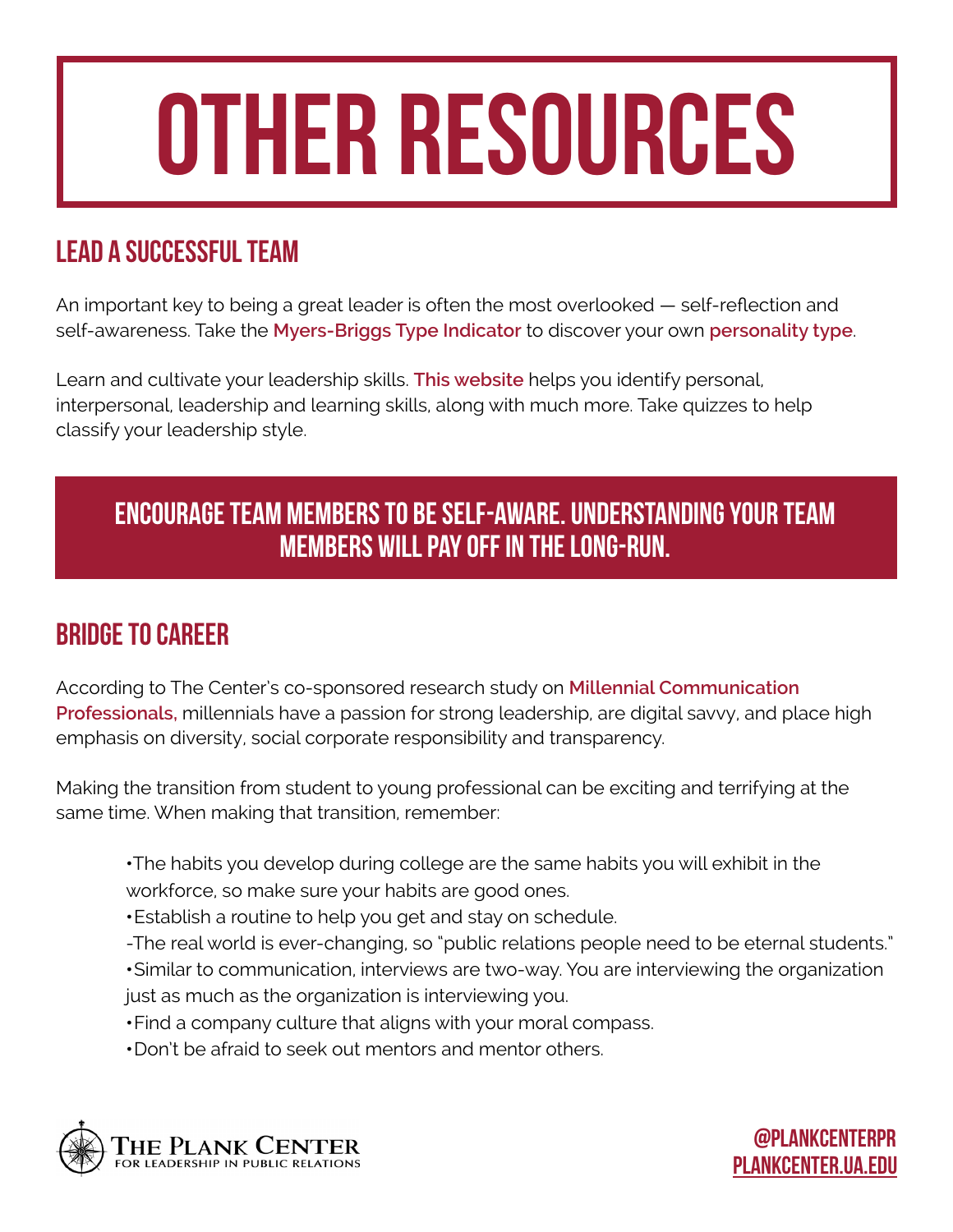## Other resources

#### Lead a successful team

An important key to being a great leader is often the most overlooked — self-reflection and self-awareness. Take the **[Myers-Briggs Type Indicator](https://www.mbtionline.com/?utm_source=MBF&utm_medium=link&utm_campaign=online)** to discover your own **[personality type](http://www.myersbriggs.org/my-mbti-personality-type/mbti-basics/the-16-mbti-types.htm?bhcp=1)**.

Learn and cultivate your leadership skills. **[This website](https://www.skillsyouneed.com/)** helps you identify personal, interpersonal, leadership and learning skills, along with much more. Take quizzes to help classify your leadership style.

#### Encourage team members to be self-aware. Understanding your team members will pay off in the long-run.

#### Bridge to career

According to The Center's co-sponsored research study on **[Millennial Communication](http://plankcenter.ua.edu/resources/research/millennial-communication-professionals-in-the-workplace/)  [Professionals,](http://plankcenter.ua.edu/resources/research/millennial-communication-professionals-in-the-workplace/)** millennials have a passion for strong leadership, are digital savvy, and place high emphasis on diversity, social corporate responsibility and transparency.

Making the transition from student to young professional can be exciting and terrifying at the same time. When making that transition, remember:

**•**The habits you develop during college are the same habits you will exhibit in the workforce, so make sure your habits are good ones.

**•**Establish a routine to help you get and stay on schedule.

-The real world is ever-changing, so "public relations people need to be eternal students."

**•**Similar to communication, interviews are two-way. You are interviewing the organization just as much as the organization is interviewing you.

[PLANKCENTER.UA.EDU](http://plankcenter.ua.edu/)

@Plankcenterpr

**•**Find a company culture that aligns with your moral compass.

**•**Don't be afraid to seek out mentors and mentor others.

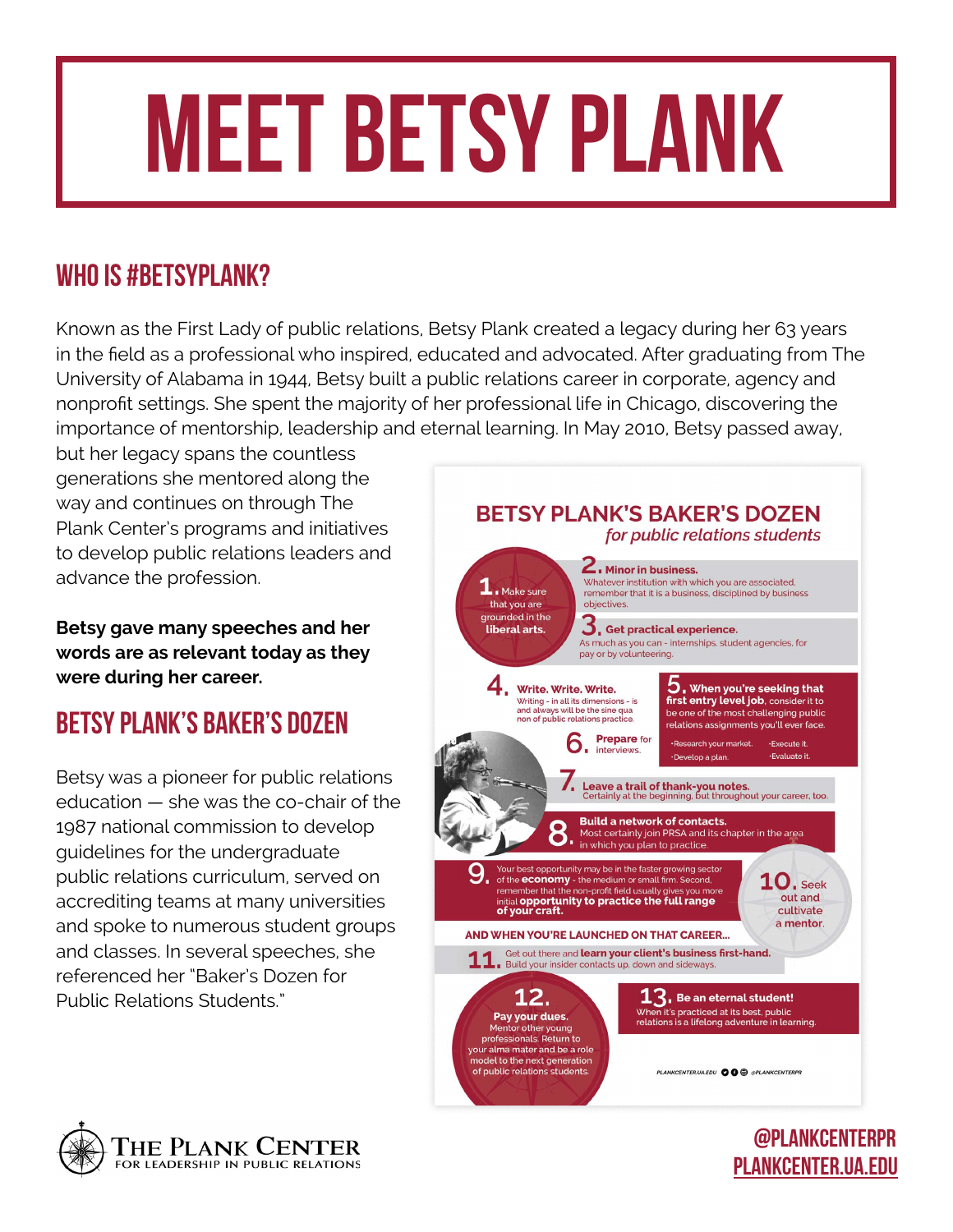## meet betsy plank

#### WHO IS #BETSYPLANK?

Known as the First Lady of public relations, Betsy Plank created a legacy during her 63 years in the field as a professional who inspired, educated and advocated. After graduating from The University of Alabama in 1944, Betsy built a public relations career in corporate, agency and nonprofit settings. She spent the majority of her professional life in Chicago, discovering the importance of mentorship, leadership and eternal learning. In May 2010, Betsy passed away,

but her legacy spans the countless generations she mentored along the way and continues on through The Plank Center's programs and initiatives to develop public relations leaders and advance the profession.

**Betsy gave many speeches and her words are as relevant today as they were during her career.**

#### Betsy Plank's Baker's Dozen

Betsy was a pioneer for public relations education — she was the co-chair of the 1987 national commission to develop guidelines for the undergraduate public relations curriculum, served on accrediting teams at many universities and spoke to numerous student groups and classes. In several speeches, she referenced her "Baker's Dozen for Public Relations Students."



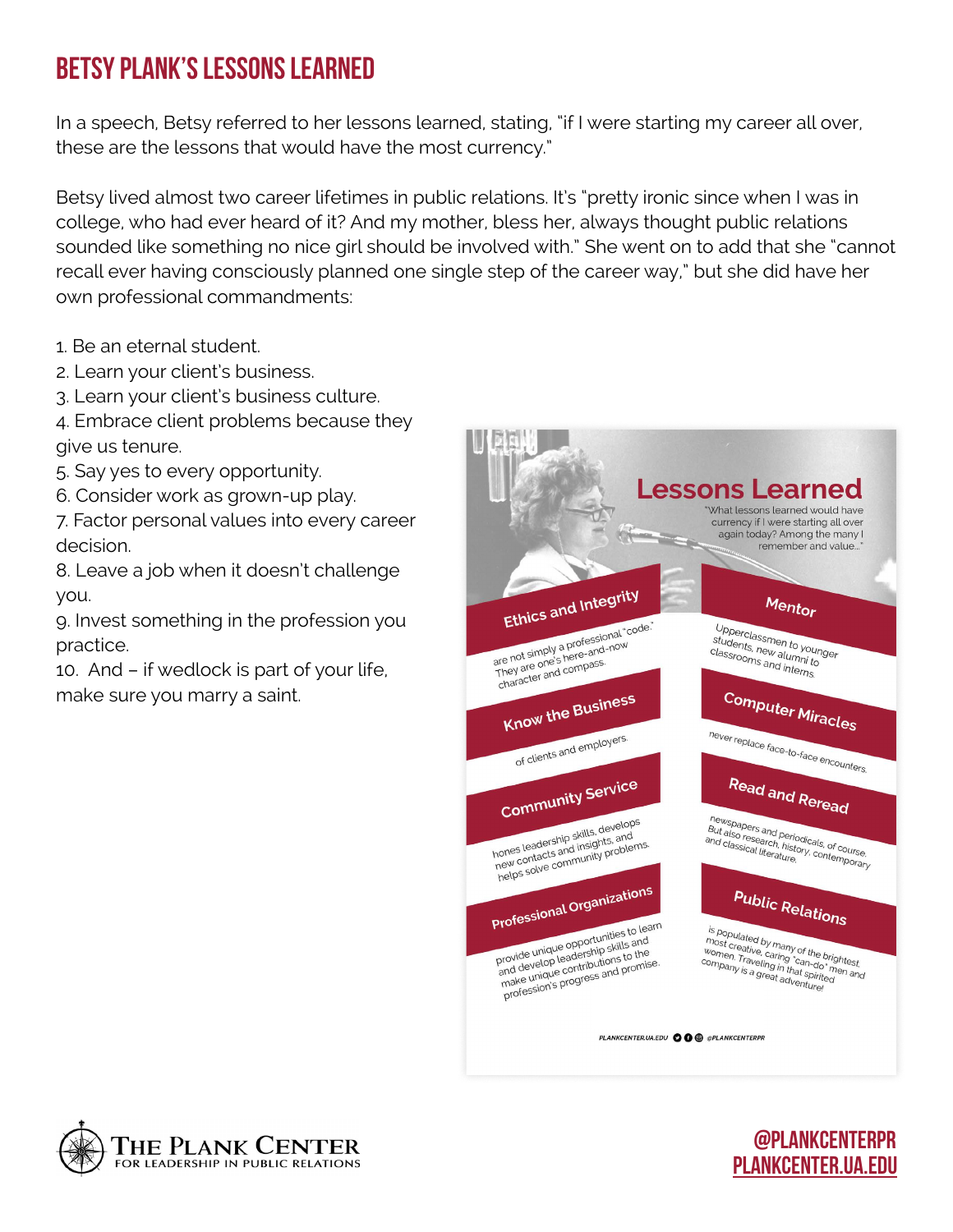#### Betsy Plank's Lessons Learned

In a speech, Betsy referred to her lessons learned, stating, "if I were starting my career all over, these are the lessons that would have the most currency."

Betsy lived almost two career lifetimes in public relations. It's "pretty ironic since when I was in college, who had ever heard of it? And my mother, bless her, always thought public relations sounded like something no nice girl should be involved with." She went on to add that she "cannot recall ever having consciously planned one single step of the career way," but she did have her own professional commandments:

- 1. Be an eternal student.
- 2. Learn your client's business.
- 3. Learn your client's business culture.
- 4. Embrace client problems because they give us tenure.
- 5. Say yes to every opportunity.
- 6. Consider work as grown-up play.
- 7. Factor personal values into every career decision.
- 8. Leave a job when it doesn't challenge you.
- 9. Invest something in the profession you practice.
- 10. And if wedlock is part of your life, make sure you marry a saint.